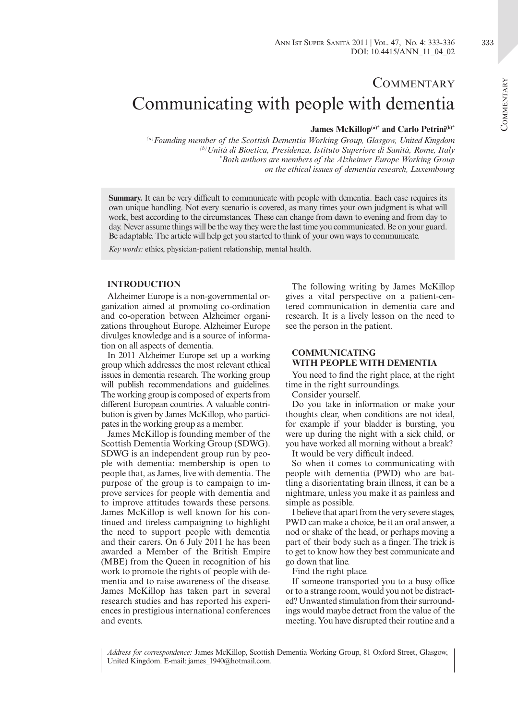## **COMMENTARY** Communicating with people with dementia

## James McKillop<sup>(a)\*</sup> and Carlo Petrini<sup>(b)\*</sup>

*(a)Founding member of the Scottish Dementia Working Group, Glasgow, United Kingdom (b)Unità di Bioetica, Presidenza, Istituto Superiore di Sanità, Rome, Italy \* Both authors are members of the Alzheimer Europe Working Group on the ethical issues of dementia research, Luxembourg*

**Summary.** It can be very difficult to communicate with people with dementia. Each case requires its own unique handling. Not every scenario is covered, as many times your own judgment is what will work, best according to the circumstances. These can change from dawn to evening and from day to day. Never assume things will be the way they were the last time you communicated. Be on your guard. Be adaptable. The article will help get you started to think of your own ways to communicate.

*Key words:* ethics, physician-patient relationship, mental health.

## **INTRODUCTION**

Alzheimer Europe is a non-governmental organization aimed at promoting co-ordination and co-operation between Alzheimer organizations throughout Europe. Alzheimer Europe divulges knowledge and is a source of information on all aspects of dementia.

In 2011 Alzheimer Europe set up a working group which addresses the most relevant ethical issues in dementia research. The working group will publish recommendations and guidelines. The working group is composed of experts from different European countries. A valuable contribution is given by James McKillop, who participates in the working group as a member.

James McKillop is founding member of the Scottish Dementia Working Group (SDWG). SDWG is an independent group run by people with dementia: membership is open to people that, as James, live with dementia. The purpose of the group is to campaign to improve services for people with dementia and to improve attitudes towards these persons. James McKillop is well known for his continued and tireless campaigning to highlight the need to support people with dementia and their carers. On 6 July 2011 he has been awarded a Member of the British Empire (MBE) from the Queen in recognition of his work to promote the rights of people with dementia and to raise awareness of the disease. James McKillop has taken part in several research studies and has reported his experiences in prestigious international conferences and events.

The following writing by James McKillop gives a vital perspective on a patient-centered communication in dementia care and research. It is a lively lesson on the need to see the person in the patient.

## **COMMUNICATING WITH PEOPLE WITH DEMENTIA**

You need to find the right place, at the right time in the right surroundings.

Consider yourself.

Do you take in information or make your thoughts clear, when conditions are not ideal, for example if your bladder is bursting, you were up during the night with a sick child, or you have worked all morning without a break?

It would be very difficult indeed.

So when it comes to communicating with people with dementia (PWD) who are battling a disorientating brain illness, it can be a nightmare, unless you make it as painless and simple as possible.

I believe that apart from the very severe stages, PWD can make a choice, be it an oral answer, a nod or shake of the head, or perhaps moving a part of their body such as a finger. The trick is to get to know how they best communicate and go down that line.

Find the right place.

If someone transported you to a busy office or to a strange room, would you not be distracted? Unwanted stimulation from their surroundings would maybe detract from the value of the meeting. You have disrupted their routine and a

*Address for correspondence:* James McKillop, Scottish Dementia Working Group, 81 Oxford Street, Glasgow, United Kingdom. E-mail: james\_1940@hotmail.com.

333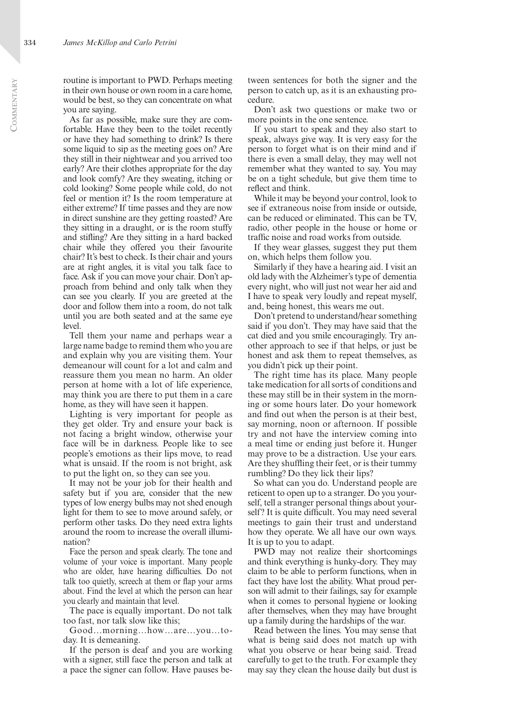routine is important to PWD. Perhaps meeting in their own house or own room in a care home, would be best, so they can concentrate on what you are saying.

As far as possible, make sure they are comfortable. Have they been to the toilet recently or have they had something to drink? Is there some liquid to sip as the meeting goes on? Are they still in their nightwear and you arrived too early? Are their clothes appropriate for the day and look comfy? Are they sweating, itching or cold looking? Some people while cold, do not feel or mention it? Is the room temperature at either extreme? If time passes and they are now in direct sunshine are they getting roasted? Are they sitting in a draught, or is the room stuffy and stifling? Are they sitting in a hard backed chair while they offered you their favourite chair? It's best to check. Is their chair and yours are at right angles, it is vital you talk face to face. Ask if you can move your chair. Don't approach from behind and only talk when they can see you clearly. If you are greeted at the door and follow them into a room, do not talk until you are both seated and at the same eye level.

Tell them your name and perhaps wear a large name badge to remind them who you are and explain why you are visiting them. Your demeanour will count for a lot and calm and reassure them you mean no harm. An older person at home with a lot of life experience, may think you are there to put them in a care home, as they will have seen it happen.

Lighting is very important for people as they get older. Try and ensure your back is not facing a bright window, otherwise your face will be in darkness. People like to see people's emotions as their lips move, to read what is unsaid. If the room is not bright, ask to put the light on, so they can see you.

It may not be your job for their health and safety but if you are, consider that the new types of low energy bulbs may not shed enough light for them to see to move around safely, or perform other tasks. Do they need extra lights around the room to increase the overall illumination?

Face the person and speak clearly. The tone and volume of your voice is important. Many people who are older, have hearing difficulties. Do not talk too quietly, screech at them or flap your arms about. Find the level at which the person can hear you clearly and maintain that level.

The pace is equally important. Do not talk too fast, nor talk slow like this;

Good…morning…how…are…you…today. It is demeaning.

If the person is deaf and you are working with a signer, still face the person and talk at a pace the signer can follow. Have pauses between sentences for both the signer and the person to catch up, as it is an exhausting procedure.

Don't ask two questions or make two or more points in the one sentence.

If you start to speak and they also start to speak, always give way. It is very easy for the person to forget what is on their mind and if there is even a small delay, they may well not remember what they wanted to say. You may be on a tight schedule, but give them time to reflect and think.

While it may be beyond your control, look to see if extraneous noise from inside or outside, can be reduced or eliminated. This can be TV, radio, other people in the house or home or traffic noise and road works from outside.

If they wear glasses, suggest they put them on, which helps them follow you.

Similarly if they have a hearing aid. I visit an old lady with the Alzheimer's type of dementia every night, who will just not wear her aid and I have to speak very loudly and repeat myself, and, being honest, this wears me out.

Don't pretend to understand/hear something said if you don't. They may have said that the cat died and you smile encouragingly. Try another approach to see if that helps, or just be honest and ask them to repeat themselves, as you didn't pick up their point.

The right time has its place. Many people take medication for all sorts of conditions and these may still be in their system in the morning or some hours later. Do your homework and find out when the person is at their best, say morning, noon or afternoon. If possible try and not have the interview coming into a meal time or ending just before it. Hunger may prove to be a distraction. Use your ears. Are they shuffling their feet, or is their tummy rumbling? Do they lick their lips?

So what can you do. Understand people are reticent to open up to a stranger. Do you yourself, tell a stranger personal things about yourself? It is quite difficult. You may need several meetings to gain their trust and understand how they operate. We all have our own ways. It is up to you to adapt.

PWD may not realize their shortcomings and think everything is hunky-dory. They may claim to be able to perform functions, when in fact they have lost the ability. What proud person will admit to their failings, say for example when it comes to personal hygiene or looking after themselves, when they may have brought up a family during the hardships of the war.

Read between the lines. You may sense that what is being said does not match up with what you observe or hear being said. Tread carefully to get to the truth. For example they may say they clean the house daily but dust is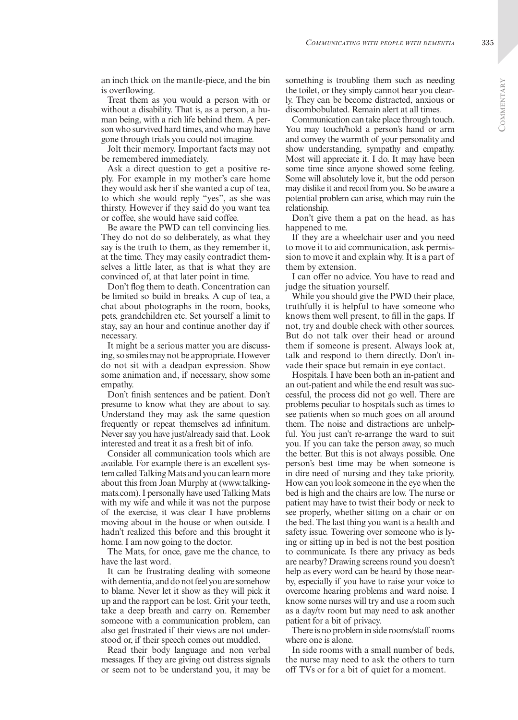an inch thick on the mantle-piece, and the bin is overflowing.

Treat them as you would a person with or without a disability. That is, as a person, a human being, with a rich life behind them. A person who survived hard times, and who may have gone through trials you could not imagine.

Jolt their memory. Important facts may not be remembered immediately.

Ask a direct question to get a positive reply. For example in my mother's care home they would ask her if she wanted a cup of tea, to which she would reply "yes", as she was thirsty. However if they said do you want tea or coffee, she would have said coffee.

Be aware the PWD can tell convincing lies. They do not do so deliberately, as what they say is the truth to them, as they remember it, at the time. They may easily contradict themselves a little later, as that is what they are convinced of, at that later point in time.

Don't flog them to death. Concentration can be limited so build in breaks. A cup of tea, a chat about photographs in the room, books, pets, grandchildren etc. Set yourself a limit to stay, say an hour and continue another day if necessary.

It might be a serious matter you are discussing, so smiles may not be appropriate. However do not sit with a deadpan expression. Show some animation and, if necessary, show some empathy.

Don't finish sentences and be patient. Don't presume to know what they are about to say. Understand they may ask the same question frequently or repeat themselves ad infinitum. Never say you have just/already said that. Look interested and treat it as a fresh bit of info.

Consider all communication tools which are available. For example there is an excellent system called Talking Mats and you can learn more about this from Joan Murphy at (www.talkingmats.com). I personally have used Talking Mats with my wife and while it was not the purpose of the exercise, it was clear I have problems moving about in the house or when outside. I hadn't realized this before and this brought it home. I am now going to the doctor.

The Mats, for once, gave me the chance, to have the last word.

It can be frustrating dealing with someone with dementia, and do not feel you are somehow to blame. Never let it show as they will pick it up and the rapport can be lost. Grit your teeth, take a deep breath and carry on. Remember someone with a communication problem, can also get frustrated if their views are not understood or, if their speech comes out muddled.

Read their body language and non verbal messages. If they are giving out distress signals or seem not to be understand you, it may be something is troubling them such as needing the toilet, or they simply cannot hear you clearly. They can be become distracted, anxious or discombobulated. Remain alert at all times.

Communication can take place through touch. You may touch/hold a person's hand or arm and convey the warmth of your personality and show understanding, sympathy and empathy. Most will appreciate it. I do. It may have been some time since anyone showed some feeling. Some will absolutely love it, but the odd person may dislike it and recoil from you. So be aware a potential problem can arise, which may ruin the relationship.

Don't give them a pat on the head, as has happened to me.

If they are a wheelchair user and you need to move it to aid communication, ask permission to move it and explain why. It is a part of them by extension.

I can offer no advice. You have to read and judge the situation yourself.

While you should give the PWD their place, truthfully it is helpful to have someone who knows them well present, to fill in the gaps. If not, try and double check with other sources. But do not talk over their head or around them if someone is present. Always look at, talk and respond to them directly. Don't invade their space but remain in eye contact.

Hospitals. I have been both an in-patient and an out-patient and while the end result was successful, the process did not go well. There are problems peculiar to hospitals such as times to see patients when so much goes on all around them. The noise and distractions are unhelpful. You just can't re-arrange the ward to suit you. If you can take the person away, so much the better. But this is not always possible. One person's best time may be when someone is in dire need of nursing and they take priority. How can you look someone in the eye when the bed is high and the chairs are low. The nurse or patient may have to twist their body or neck to see properly, whether sitting on a chair or on the bed. The last thing you want is a health and safety issue. Towering over someone who is lying or sitting up in bed is not the best position to communicate. Is there any privacy as beds are nearby? Drawing screens round you doesn't help as every word can be heard by those nearby, especially if you have to raise your voice to overcome hearing problems and ward noise. I know some nurses will try and use a room such as a day/tv room but may need to ask another patient for a bit of privacy.

There is no problem in side rooms/staff rooms where one is alone.

In side rooms with a small number of beds, the nurse may need to ask the others to turn off TVs or for a bit of quiet for a moment.